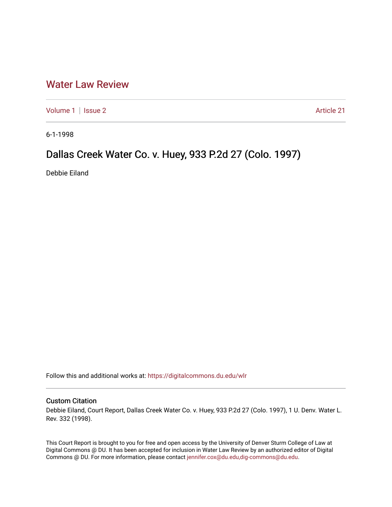## [Water Law Review](https://digitalcommons.du.edu/wlr)

[Volume 1](https://digitalcommons.du.edu/wlr/vol1) | [Issue 2](https://digitalcommons.du.edu/wlr/vol1/iss2) Article 21

6-1-1998

# Dallas Creek Water Co. v. Huey, 933 P.2d 27 (Colo. 1997)

Debbie Eiland

Follow this and additional works at: [https://digitalcommons.du.edu/wlr](https://digitalcommons.du.edu/wlr?utm_source=digitalcommons.du.edu%2Fwlr%2Fvol1%2Fiss2%2F21&utm_medium=PDF&utm_campaign=PDFCoverPages) 

## Custom Citation

Debbie Eiland, Court Report, Dallas Creek Water Co. v. Huey, 933 P.2d 27 (Colo. 1997), 1 U. Denv. Water L. Rev. 332 (1998).

This Court Report is brought to you for free and open access by the University of Denver Sturm College of Law at Digital Commons @ DU. It has been accepted for inclusion in Water Law Review by an authorized editor of Digital Commons @ DU. For more information, please contact [jennifer.cox@du.edu,dig-commons@du.edu.](mailto:jennifer.cox@du.edu,dig-commons@du.edu)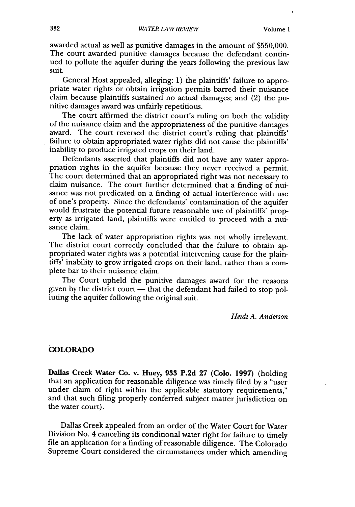awarded actual as well as punitive damages in the amount of \$550,000. The court awarded punitive damages because the defendant continued to pollute the aquifer during the years following the previous law suit.

General Host appealed, alleging: 1) the plaintiffs' failure to appropriate water rights or obtain irrigation permits barred their nuisance claim because plaintiffs sustained no actual damages; and (2) the punitive damages award was unfairly repetitious.

The court affirmed the district court's ruling on both the validity of the nuisance claim and the appropriateness of the punitive damages award. The court reversed the district court's ruling that plaintiffs' failure to obtain appropriated water rights did not cause the plaintiffs' inability to produce irrigated crops on their land.

Defendants asserted that plaintiffs did not have any water appropriation rights in the aquifer because they never received a permit. The court determined that an appropriated right was not necessary to claim nuisance. The court further determined that a finding of nuisance was not predicated on a finding of actual interference with use of one's property. Since the defendants' contamination of the aquifer would frustrate the potential future reasonable use of plaintiffs' property as irrigated land, plaintiffs were entitled to proceed with a nuisance claim.

The lack of water appropriation rights was not wholly irrelevant. The district court correctly concluded that the failure to obtain appropriated water rights was a potential intervening cause for the plaintiffs' inability to grow irrigated crops on their land, rather than a complete bar to their nuisance claim.

The Court upheld the punitive damages award for the reasons given by the district court  $-$  that the defendant had failed to stop polluting the aquifer following the original suit.

*Heidi A. Anderson*

### COLORADO

Dallas Creek Water Co. v. Huey, **933 P.2d 27** (Colo. 1997) (holding that an application for reasonable diligence was timely filed **by** a "user under claim of right within the applicable statutory requirements," and that such filing properly conferred subject matter jurisdiction on the water court).

Dallas Creek appealed from an order of the Water Court for Water Division No. 4 canceling its conditional water right for failure to timely file an application for a finding of reasonable diligence. The Colorado Supreme Court considered the circumstances under which amending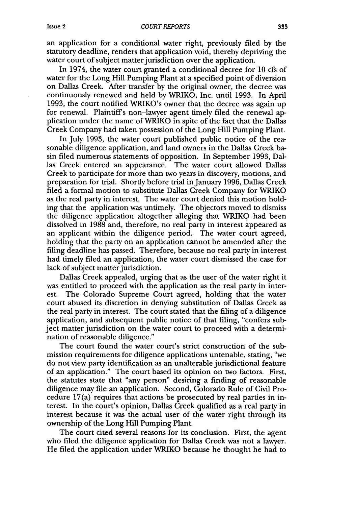an application for a conditional water right, previously filed by the statutory deadline, renders that application void, thereby depriving the water court of subject matter jurisdiction over the application.

In 1974, the water court granted a conditional decree for 10 cfs of water for the Long Hill Pumping Plant at a specified point of diversion on Dallas Creek. After transfer by the original owner, the decree was continuously renewed and held by WRIKO, Inc. until 1993. In April 1993, the court notified WRIKO's owner that the decree was again up for renewal. Plaintiff's non-lawyer agent timely filed the renewal application under the name of WRIKO in spite of the fact that the Dallas Creek Company had taken possession of the Long Hill Pumping Plant.

In July 1993, the water court published public notice of the reasonable diligence application, and land owners in the Dallas Creek basin filed numerous statements of opposition. In September 1993, Dallas Creek entered an appearance. The water court allowed Dallas Creek to participate for more than two years in discovery, motions, and preparation for trial. Shortly before trial in January 1996, Dallas Creek filed a formal motion to substitute Dallas Creek Company for WRIKO as the real party in interest. The water court denied this motion holding that the application was untimely. The objectors moved to dismiss the diligence application altogether alleging that WRIKO had been dissolved in 1988 and, therefore, no real party in interest appeared as an applicant within the diligence period. The water court agreed, holding that the party on an application cannot be amended after the filing deadline has passed. Therefore, because no real party in interest had timely filed an application, the water court dismissed the case for lack of subject matter jurisdiction.

Dallas Creek appealed, urging that as the user of the water right it was entitled to proceed with the application as the real party in interest. The Colorado Supreme Court agreed, holding that the water court abused its discretion in denying substitution of Dallas Creek as the real party in interest. The court stated that the filing of a diligence application, and subsequent public notice of that filing, "confers subject matter jurisdiction on the water court to proceed with a determination of reasonable diligence."

The court found the water court's strict construction of the submission requirements for diligence applications untenable, stating, "we do not view party identification as an unalterable jurisdictional feature of an application." The court based its opinion on two factors. First, the statutes state that "any person" desiring a finding of reasonable diligence may file an application. Second, Colorado Rule of Civil Procedure 17(a) requires that actions be prosecuted by real parties in interest. In the court's opinion, Dallas Creek qualified as a real party in interest because it was the actual user of the water right through its ownership of the Long Hill Pumping Plant.

The court cited several reasons for its conclusion. First, the agent who filed the diligence application for Dallas Creek was not a lawyer. He filed the application under WRIKO because he thought he had to